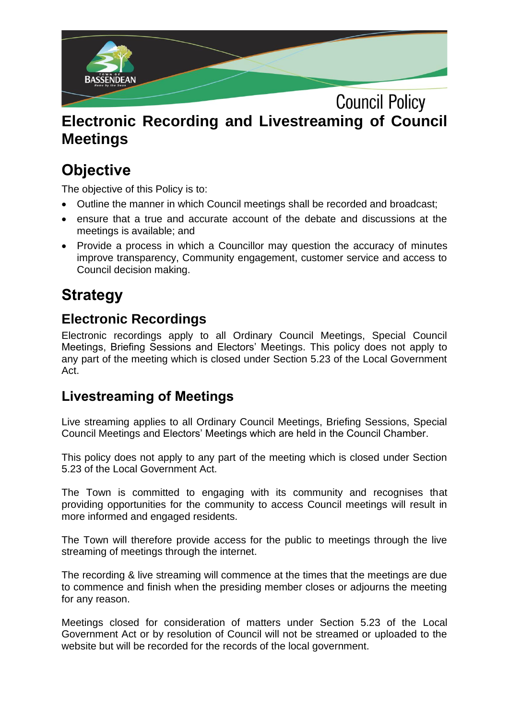

## **Electronic Recording and Livestreaming of Council Meetings**

# **Objective**

The objective of this Policy is to:

- Outline the manner in which Council meetings shall be recorded and broadcast;
- ensure that a true and accurate account of the debate and discussions at the meetings is available; and
- Provide a process in which a Councillor may question the accuracy of minutes improve transparency, Community engagement, customer service and access to Council decision making.

### **Strategy**

#### **Electronic Recordings**

Electronic recordings apply to all Ordinary Council Meetings, Special Council Meetings, Briefing Sessions and Electors' Meetings. This policy does not apply to any part of the meeting which is closed under Section 5.23 of the Local Government Act.

#### **Livestreaming of Meetings**

Live streaming applies to all Ordinary Council Meetings, Briefing Sessions, Special Council Meetings and Electors' Meetings which are held in the Council Chamber.

This policy does not apply to any part of the meeting which is closed under Section 5.23 of the Local Government Act.

The Town is committed to engaging with its community and recognises that providing opportunities for the community to access Council meetings will result in more informed and engaged residents.

The Town will therefore provide access for the public to meetings through the live streaming of meetings through the internet.

The recording & live streaming will commence at the times that the meetings are due to commence and finish when the presiding member closes or adjourns the meeting for any reason.

Meetings closed for consideration of matters under Section 5.23 of the Local Government Act or by resolution of Council will not be streamed or uploaded to the website but will be recorded for the records of the local government.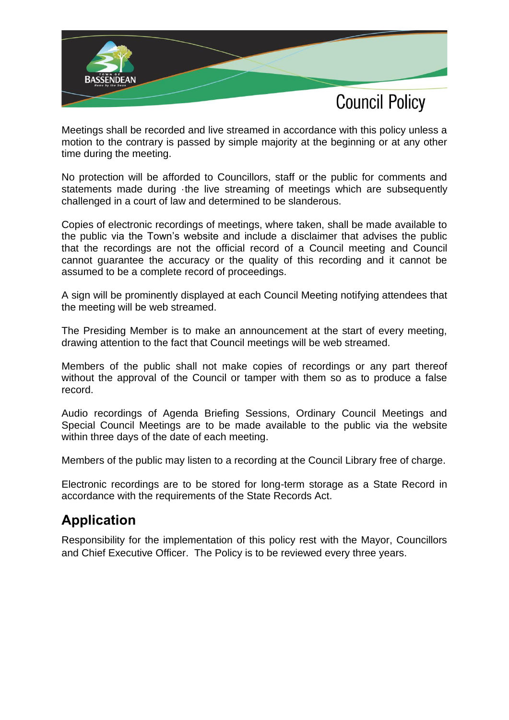

Meetings shall be recorded and live streamed in accordance with this policy unless a motion to the contrary is passed by simple majority at the beginning or at any other time during the meeting.

No protection will be afforded to Councillors, staff or the public for comments and statements made during ·the live streaming of meetings which are subsequently challenged in a court of law and determined to be slanderous.

Copies of electronic recordings of meetings, where taken, shall be made available to the public via the Town's website and include a disclaimer that advises the public that the recordings are not the official record of a Council meeting and Council cannot guarantee the accuracy or the quality of this recording and it cannot be assumed to be a complete record of proceedings.

A sign will be prominently displayed at each Council Meeting notifying attendees that the meeting will be web streamed.

The Presiding Member is to make an announcement at the start of every meeting, drawing attention to the fact that Council meetings will be web streamed.

Members of the public shall not make copies of recordings or any part thereof without the approval of the Council or tamper with them so as to produce a false record.

Audio recordings of Agenda Briefing Sessions, Ordinary Council Meetings and Special Council Meetings are to be made available to the public via the website within three days of the date of each meeting.

Members of the public may listen to a recording at the Council Library free of charge.

Electronic recordings are to be stored for long-term storage as a State Record in accordance with the requirements of the State Records Act.

### **Application**

Responsibility for the implementation of this policy rest with the Mayor, Councillors and Chief Executive Officer. The Policy is to be reviewed every three years.